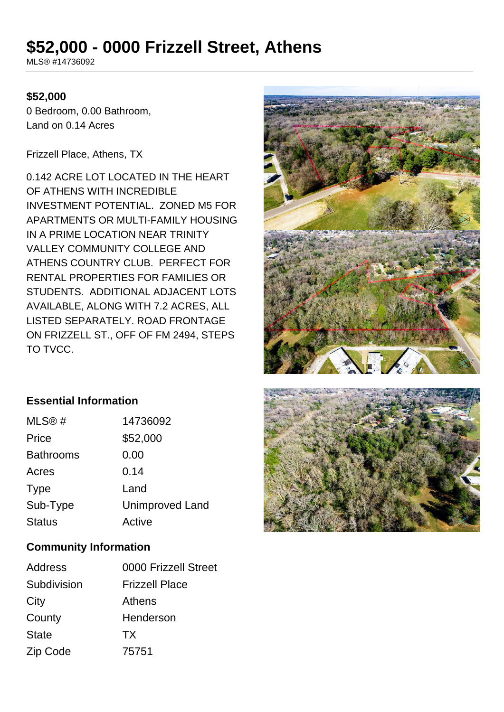# **\$52,000 - 0000 Frizzell Street, Athens**

MLS® #14736092

#### **\$52,000**

0 Bedroom, 0.00 Bathroom, Land on 0.14 Acres

Frizzell Place, Athens, TX

0.142 ACRE LOT LOCATED IN THE HEART OF ATHENS WITH INCREDIBLE INVESTMENT POTENTIAL. ZONED M5 FOR APARTMENTS OR MULTI-FAMILY HOUSING IN A PRIME LOCATION NEAR TRINITY VALLEY COMMUNITY COLLEGE AND ATHENS COUNTRY CLUB. PERFECT FOR RENTAL PROPERTIES FOR FAMILIES OR STUDENTS. ADDITIONAL ADJACENT LOTS AVAILABLE, ALONG WITH 7.2 ACRES, ALL LISTED SEPARATELY. ROAD FRONTAGE ON FRIZZELL ST., OFF OF FM 2494, STEPS TO TVCC.



# **Essential Information**

| MLS@#            | 14736092               |
|------------------|------------------------|
| Price            | \$52,000               |
| <b>Bathrooms</b> | 0.00                   |
| Acres            | 0.14                   |
| <b>Type</b>      | Land                   |
| Sub-Type         | <b>Unimproved Land</b> |
| <b>Status</b>    | Active                 |

#### **Community Information**

| Address      | 0000 Frizzell Street  |
|--------------|-----------------------|
| Subdivision  | <b>Frizzell Place</b> |
| City         | Athens                |
| County       | Henderson             |
| <b>State</b> | <b>TX</b>             |
| Zip Code     | 75751                 |